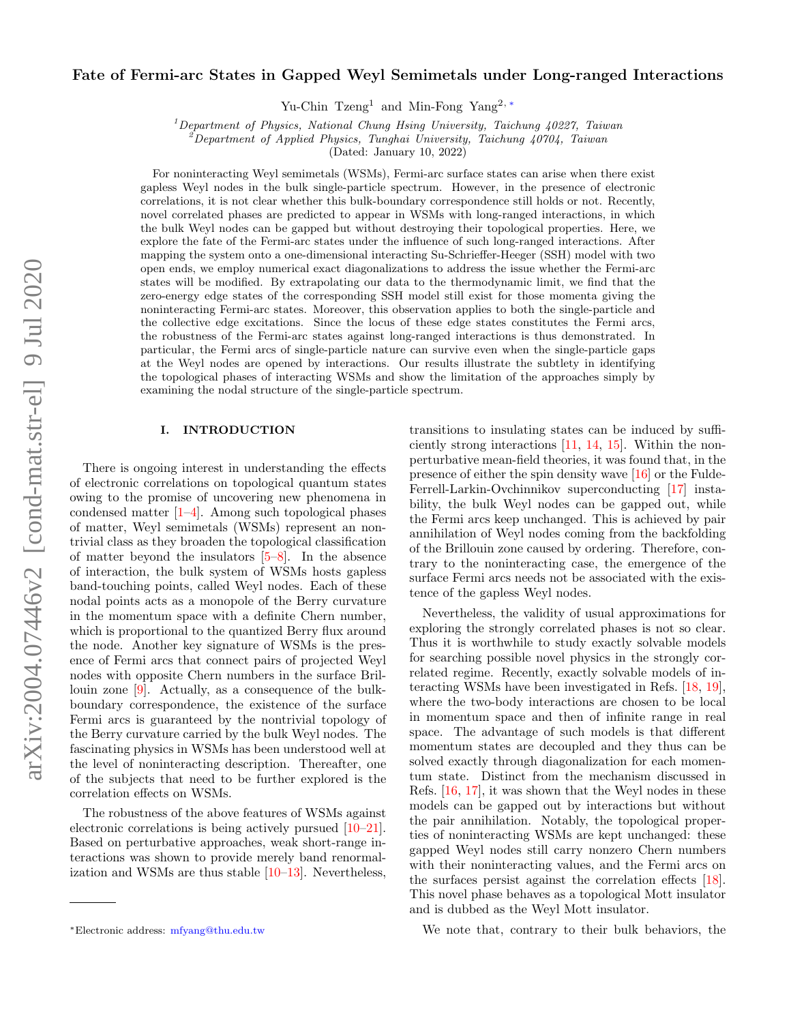# arXiv:2004.07446v2 [cond-mat.str-el] 9 Jul 2020 arXiv:2004.07446v2 [cond-mat.str-el] 9 Jul 2020

## Fate of Fermi-arc States in Gapped Weyl Semimetals under Long-ranged Interactions

Yu-Chin Tzeng<sup>1</sup> and Min-Fong Yang2, [∗](#page-0-0)

<sup>1</sup>Department of Physics, National Chung Hsing University, Taichung  $40227$ , Taiwan

<sup>2</sup>Department of Applied Physics, Tunghai University, Taichung 40704, Taiwan

(Dated: January 10, 2022)

For noninteracting Weyl semimetals (WSMs), Fermi-arc surface states can arise when there exist gapless Weyl nodes in the bulk single-particle spectrum. However, in the presence of electronic correlations, it is not clear whether this bulk-boundary correspondence still holds or not. Recently, novel correlated phases are predicted to appear in WSMs with long-ranged interactions, in which the bulk Weyl nodes can be gapped but without destroying their topological properties. Here, we explore the fate of the Fermi-arc states under the influence of such long-ranged interactions. After mapping the system onto a one-dimensional interacting Su-Schrieffer-Heeger (SSH) model with two open ends, we employ numerical exact diagonalizations to address the issue whether the Fermi-arc states will be modified. By extrapolating our data to the thermodynamic limit, we find that the zero-energy edge states of the corresponding SSH model still exist for those momenta giving the noninteracting Fermi-arc states. Moreover, this observation applies to both the single-particle and the collective edge excitations. Since the locus of these edge states constitutes the Fermi arcs, the robustness of the Fermi-arc states against long-ranged interactions is thus demonstrated. In particular, the Fermi arcs of single-particle nature can survive even when the single-particle gaps at the Weyl nodes are opened by interactions. Our results illustrate the subtlety in identifying the topological phases of interacting WSMs and show the limitation of the approaches simply by examining the nodal structure of the single-particle spectrum.

### I. INTRODUCTION

There is ongoing interest in understanding the effects of electronic correlations on topological quantum states owing to the promise of uncovering new phenomena in condensed matter [\[1](#page-7-0)[–4\]](#page-7-1). Among such topological phases of matter, Weyl semimetals (WSMs) represent an nontrivial class as they broaden the topological classification of matter beyond the insulators [\[5–](#page-7-2)[8\]](#page-7-3). In the absence of interaction, the bulk system of WSMs hosts gapless band-touching points, called Weyl nodes. Each of these nodal points acts as a monopole of the Berry curvature in the momentum space with a definite Chern number, which is proportional to the quantized Berry flux around the node. Another key signature of WSMs is the presence of Fermi arcs that connect pairs of projected Weyl nodes with opposite Chern numbers in the surface Brillouin zone [\[9\]](#page-7-4). Actually, as a consequence of the bulkboundary correspondence, the existence of the surface Fermi arcs is guaranteed by the nontrivial topology of the Berry curvature carried by the bulk Weyl nodes. The fascinating physics in WSMs has been understood well at the level of noninteracting description. Thereafter, one of the subjects that need to be further explored is the correlation effects on WSMs.

The robustness of the above features of WSMs against electronic correlations is being actively pursued [\[10–](#page-7-5)[21\]](#page-7-6). Based on perturbative approaches, weak short-range interactions was shown to provide merely band renormalization and WSMs are thus stable [\[10](#page-7-5)[–13\]](#page-7-7). Nevertheless, transitions to insulating states can be induced by sufficiently strong interactions [\[11,](#page-7-8) [14,](#page-7-9) [15\]](#page-7-10). Within the nonperturbative mean-field theories, it was found that, in the presence of either the spin density wave [\[16\]](#page-7-11) or the Fulde-Ferrell-Larkin-Ovchinnikov superconducting [\[17\]](#page-7-12) instability, the bulk Weyl nodes can be gapped out, while the Fermi arcs keep unchanged. This is achieved by pair annihilation of Weyl nodes coming from the backfolding of the Brillouin zone caused by ordering. Therefore, contrary to the noninteracting case, the emergence of the surface Fermi arcs needs not be associated with the existence of the gapless Weyl nodes.

Nevertheless, the validity of usual approximations for exploring the strongly correlated phases is not so clear. Thus it is worthwhile to study exactly solvable models for searching possible novel physics in the strongly correlated regime. Recently, exactly solvable models of interacting WSMs have been investigated in Refs. [\[18,](#page-7-13) [19\]](#page-7-14), where the two-body interactions are chosen to be local in momentum space and then of infinite range in real space. The advantage of such models is that different momentum states are decoupled and they thus can be solved exactly through diagonalization for each momentum state. Distinct from the mechanism discussed in Refs. [\[16,](#page-7-11) [17\]](#page-7-12), it was shown that the Weyl nodes in these models can be gapped out by interactions but without the pair annihilation. Notably, the topological properties of noninteracting WSMs are kept unchanged: these gapped Weyl nodes still carry nonzero Chern numbers with their noninteracting values, and the Fermi arcs on the surfaces persist against the correlation effects [\[18\]](#page-7-13). This novel phase behaves as a topological Mott insulator and is dubbed as the Weyl Mott insulator.

We note that, contrary to their bulk behaviors, the

<span id="page-0-0"></span><sup>∗</sup>Electronic address: [mfyang@thu.edu.tw](mailto:mfyang@thu.edu.tw)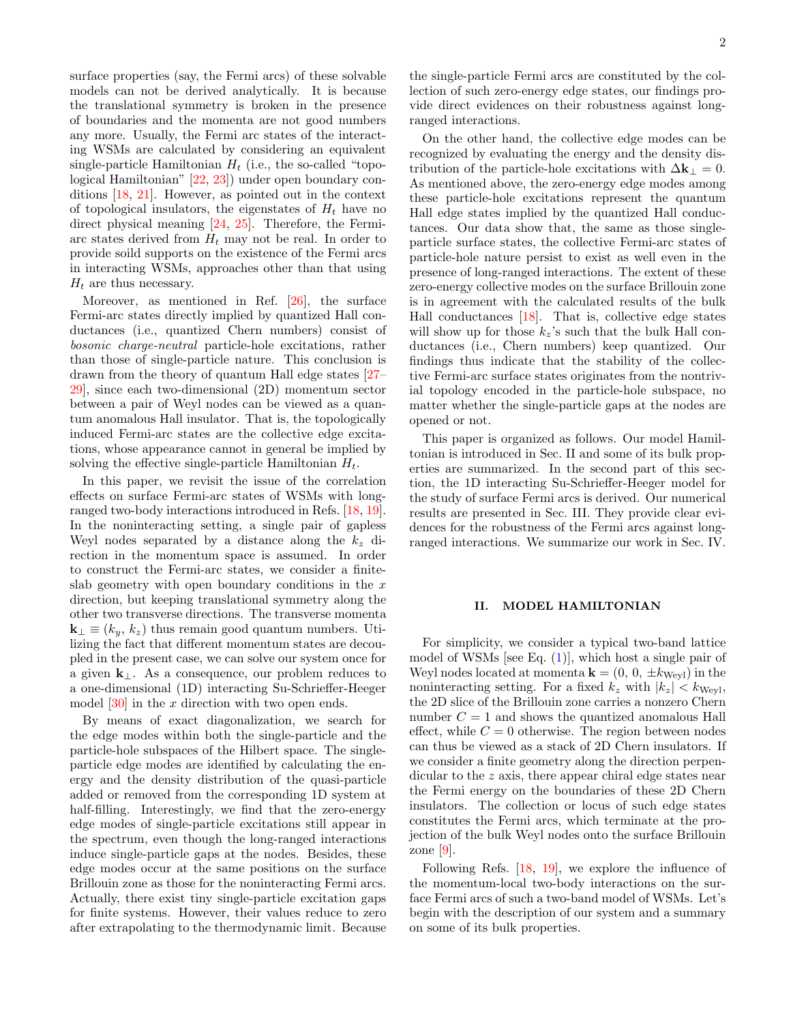surface properties (say, the Fermi arcs) of these solvable models can not be derived analytically. It is because the translational symmetry is broken in the presence of boundaries and the momenta are not good numbers any more. Usually, the Fermi arc states of the interacting WSMs are calculated by considering an equivalent single-particle Hamiltonian  $H_t$  (i.e., the so-called "topological Hamiltonian" [\[22,](#page-7-15) [23\]](#page-7-16)) under open boundary conditions [\[18,](#page-7-13) [21\]](#page-7-6). However, as pointed out in the context of topological insulators, the eigenstates of  $H_t$  have no direct physical meaning [\[24,](#page-7-17) [25\]](#page-7-18). Therefore, the Fermiarc states derived from  $H_t$  may not be real. In order to provide soild supports on the existence of the Fermi arcs in interacting WSMs, approaches other than that using  $H_t$  are thus necessary.

Moreover, as mentioned in Ref. [\[26\]](#page-7-19), the surface Fermi-arc states directly implied by quantized Hall conductances (i.e., quantized Chern numbers) consist of bosonic charge-neutral particle-hole excitations, rather than those of single-particle nature. This conclusion is drawn from the theory of quantum Hall edge states [\[27–](#page-7-20) [29\]](#page-7-21), since each two-dimensional (2D) momentum sector between a pair of Weyl nodes can be viewed as a quantum anomalous Hall insulator. That is, the topologically induced Fermi-arc states are the collective edge excitations, whose appearance cannot in general be implied by solving the effective single-particle Hamiltonian  $H_t$ .

In this paper, we revisit the issue of the correlation effects on surface Fermi-arc states of WSMs with longranged two-body interactions introduced in Refs. [\[18,](#page-7-13) [19\]](#page-7-14). In the noninteracting setting, a single pair of gapless Weyl nodes separated by a distance along the  $k_z$  direction in the momentum space is assumed. In order to construct the Fermi-arc states, we consider a finiteslab geometry with open boundary conditions in the  $x$ direction, but keeping translational symmetry along the other two transverse directions. The transverse momenta  ${\bf k}_{\perp} \equiv (k_y, k_z)$  thus remain good quantum numbers. Utilizing the fact that different momentum states are decoupled in the present case, we can solve our system once for a given  $k_{\perp}$ . As a consequence, our problem reduces to a one-dimensional (1D) interacting Su-Schrieffer-Heeger model  $[30]$  in the x direction with two open ends.

By means of exact diagonalization, we search for the edge modes within both the single-particle and the particle-hole subspaces of the Hilbert space. The singleparticle edge modes are identified by calculating the energy and the density distribution of the quasi-particle added or removed from the corresponding 1D system at half-filling. Interestingly, we find that the zero-energy edge modes of single-particle excitations still appear in the spectrum, even though the long-ranged interactions induce single-particle gaps at the nodes. Besides, these edge modes occur at the same positions on the surface Brillouin zone as those for the noninteracting Fermi arcs. Actually, there exist tiny single-particle excitation gaps for finite systems. However, their values reduce to zero after extrapolating to the thermodynamic limit. Because

the single-particle Fermi arcs are constituted by the collection of such zero-energy edge states, our findings provide direct evidences on their robustness against longranged interactions.

On the other hand, the collective edge modes can be recognized by evaluating the energy and the density distribution of the particle-hole excitations with  $\Delta \mathbf{k}_{\perp} = 0$ . As mentioned above, the zero-energy edge modes among these particle-hole excitations represent the quantum Hall edge states implied by the quantized Hall conductances. Our data show that, the same as those singleparticle surface states, the collective Fermi-arc states of particle-hole nature persist to exist as well even in the presence of long-ranged interactions. The extent of these zero-energy collective modes on the surface Brillouin zone is in agreement with the calculated results of the bulk Hall conductances [\[18\]](#page-7-13). That is, collective edge states will show up for those  $k_z$ 's such that the bulk Hall conductances (i.e., Chern numbers) keep quantized. Our findings thus indicate that the stability of the collective Fermi-arc surface states originates from the nontrivial topology encoded in the particle-hole subspace, no matter whether the single-particle gaps at the nodes are opened or not.

This paper is organized as follows. Our model Hamiltonian is introduced in Sec. II and some of its bulk properties are summarized. In the second part of this section, the 1D interacting Su-Schrieffer-Heeger model for the study of surface Fermi arcs is derived. Our numerical results are presented in Sec. III. They provide clear evidences for the robustness of the Fermi arcs against longranged interactions. We summarize our work in Sec. IV.

### II. MODEL HAMILTONIAN

For simplicity, we consider a typical two-band lattice model of WSMs [see Eq.  $(1)$ ], which host a single pair of Weyl nodes located at momenta  $\mathbf{k} = (0, 0, \pm k_{\text{Weyl}})$  in the noninteracting setting. For a fixed  $k_z$  with  $|k_z| < k_{\text{Weyl}}$ , the 2D slice of the Brillouin zone carries a nonzero Chern number  $C = 1$  and shows the quantized anomalous Hall effect, while  $C = 0$  otherwise. The region between nodes can thus be viewed as a stack of 2D Chern insulators. If we consider a finite geometry along the direction perpendicular to the z axis, there appear chiral edge states near the Fermi energy on the boundaries of these 2D Chern insulators. The collection or locus of such edge states constitutes the Fermi arcs, which terminate at the projection of the bulk Weyl nodes onto the surface Brillouin zone  $[9]$ .

Following Refs. [\[18,](#page-7-13) [19\]](#page-7-14), we explore the influence of the momentum-local two-body interactions on the surface Fermi arcs of such a two-band model of WSMs. Let's begin with the description of our system and a summary on some of its bulk properties.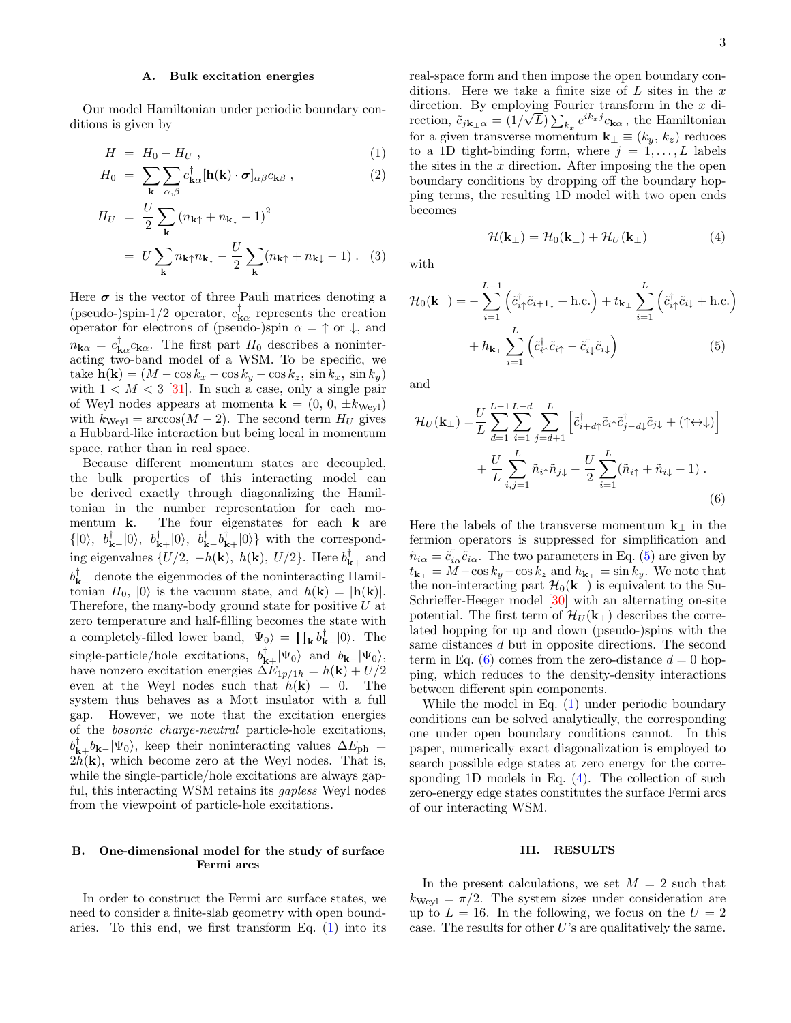### <span id="page-2-4"></span>A. Bulk excitation energies

Our model Hamiltonian under periodic boundary conditions is given by

<span id="page-2-0"></span>
$$
H = H_0 + H_U , \qquad (1)
$$

$$
H_0 = \sum_{\mathbf{k}} \sum_{\alpha,\beta} c_{\mathbf{k}\alpha}^{\dagger} [\mathbf{h}(\mathbf{k}) \cdot \boldsymbol{\sigma}]_{\alpha\beta} c_{\mathbf{k}\beta} , \qquad (2)
$$

$$
H_U = \frac{U}{2} \sum_{\mathbf{k}} (n_{\mathbf{k}\uparrow} + n_{\mathbf{k}\downarrow} - 1)^2
$$
  
=  $U \sum_{\mathbf{k}} n_{\mathbf{k}\uparrow} n_{\mathbf{k}\downarrow} - \frac{U}{2} \sum_{\mathbf{k}} (n_{\mathbf{k}\uparrow} + n_{\mathbf{k}\downarrow} - 1)$ . (3)

Here  $\sigma$  is the vector of three Pauli matrices denoting a (pseudo-)spin-1/2 operator,  $c_{\mathbf{k}\alpha}^{\dagger}$  represents the creation operator for electrons of (pseudo-)spin  $\alpha = \uparrow$  or  $\downarrow$ , and  $n_{\mathbf{k}\alpha} = c_{\mathbf{k}\alpha}^{\dagger} c_{\mathbf{k}\alpha}$ . The first part  $H_0$  describes a noninteracting two-band model of a WSM. To be specific, we take  $h(\mathbf{k}) = (M - \cos k_x - \cos k_y - \cos k_z, \sin k_x, \sin k_y)$ with  $1 < M < 3$  [\[31\]](#page-7-23). In such a case, only a single pair of Weyl nodes appears at momenta  $\mathbf{k} = (0, 0, \pm k_{Weyl})$ with  $k_{\text{Weyl}} = \arccos(M-2)$ . The second term  $H_U$  gives a Hubbard-like interaction but being local in momentum space, rather than in real space.

Because different momentum states are decoupled, the bulk properties of this interacting model can be derived exactly through diagonalizing the Hamiltonian in the number representation for each momentum k. The four eigenstates for each k are  $\{|0\rangle, b_{\mathbf{k}-}^{\dagger}|0\rangle, b_{\mathbf{k}+}^{\dagger}|0\rangle, b_{\mathbf{k}-}^{\dagger}b_{\mathbf{k}+}^{\dagger}|0\rangle\}$  with the corresponding eigenvalues  $\{U/2, -h(\mathbf{k}), h(\mathbf{k}), U/2\}$ . Here  $b_{\mathbf{k}+}^{\dagger}$  and  $b_{\mathbf{k}-}^{\dagger}$  denote the eigenmodes of the noninteracting Hamiltonian  $H_0$ ,  $|0\rangle$  is the vacuum state, and  $h(\mathbf{k}) = |\mathbf{h}(\mathbf{k})|$ . Therefore, the many-body ground state for positive  $U$  at zero temperature and half-filling becomes the state with a completely-filled lower band,  $|\Psi_0\rangle = \prod_{\mathbf{k}} b_{\mathbf{k}-}^{\dagger} |0\rangle$ . The single-particle/hole excitations,  $b_{\mathbf{k}+}^{\dagger}|\Psi_0\rangle$  and  $b_{\mathbf{k}-}|\Psi_0\rangle$ , have nonzero excitation energies  $\Delta E_{1p/1h} = h(\mathbf{k}) + U/2$ even at the Weyl nodes such that  $h(\mathbf{k}) = 0$ . The system thus behaves as a Mott insulator with a full gap. However, we note that the excitation energies of the bosonic charge-neutral particle-hole excitations,  $b_{\mathbf{k}+}^{\dagger}b_{\mathbf{k}-}|\Psi_0\rangle$ , keep their noninteracting values  $\Delta E_{\rm ph}$  =  $2h(\mathbf{k})$ , which become zero at the Weyl nodes. That is, while the single-particle/hole excitations are always gapful, this interacting WSM retains its *gapless* Weyl nodes from the viewpoint of particle-hole excitations.

# real-space form and then impose the open boundary conditions. Here we take a finite size of  $L$  sites in the  $x$ direction. By employing Fourier transform in the x direction,  $\tilde{c}_{j\mathbf{k}_{\perp}\alpha} = (1/\sqrt{L}) \sum_{k_x} e^{ik_x j} c_{\mathbf{k}\alpha}$ , the Hamiltonian for a given transverse momentum  $\mathbf{k}_{\perp} \equiv (k_y, k_z)$  reduces to a 1D tight-binding form, where  $j = 1, \ldots, L$  labels the sites in the  $x$  direction. After imposing the the open boundary conditions by dropping off the boundary hopping terms, the resulting 1D model with two open ends becomes

<span id="page-2-3"></span><span id="page-2-1"></span>
$$
\mathcal{H}(\mathbf{k}_{\perp}) = \mathcal{H}_0(\mathbf{k}_{\perp}) + \mathcal{H}_U(\mathbf{k}_{\perp})
$$
 (4)

with

$$
\mathcal{H}_0(\mathbf{k}_{\perp}) = -\sum_{i=1}^{L-1} \left( \tilde{c}_{i\uparrow}^{\dagger} \tilde{c}_{i+1\downarrow} + \text{h.c.} \right) + t_{\mathbf{k}_{\perp}} \sum_{i=1}^{L} \left( \tilde{c}_{i\uparrow}^{\dagger} \tilde{c}_{i\downarrow} + \text{h.c.} \right) + h_{\mathbf{k}_{\perp}} \sum_{i=1}^{L} \left( \tilde{c}_{i\uparrow}^{\dagger} \tilde{c}_{i\uparrow} - \tilde{c}_{i\downarrow}^{\dagger} \tilde{c}_{i\downarrow} \right) \tag{5}
$$

and

$$
\mathcal{H}_U(\mathbf{k}_{\perp}) = \frac{U}{L} \sum_{d=1}^{L-1} \sum_{i=1}^{L-d} \sum_{j=d+1}^{L} \left[ \tilde{c}_{i+d\uparrow}^{\dagger} \tilde{c}_{i\uparrow} \tilde{c}_{j-d\downarrow}^{\dagger} \tilde{c}_{j\downarrow} + (\uparrow \leftrightarrow \downarrow) \right] + \frac{U}{L} \sum_{i,j=1}^{L} \tilde{n}_{i\uparrow} \tilde{n}_{j\downarrow} - \frac{U}{2} \sum_{i=1}^{L} (\tilde{n}_{i\uparrow} + \tilde{n}_{i\downarrow} - 1) .
$$
\n(6)

<span id="page-2-2"></span>Here the labels of the transverse momentum  ${\bf k}_{\perp}$  in the fermion operators is suppressed for simplification and  $\tilde{n}_{i\alpha} = \tilde{c}_{i\alpha}^{\dagger} \tilde{c}_{i\alpha}$ . The two parameters in Eq. [\(5\)](#page-2-1) are given by  $t_{\mathbf{k}_{\perp}} = \overline{M} - \cos k_y - \cos k_z$  and  $h_{\mathbf{k}_{\perp}} = \sin k_y$ . We note that the non-interacting part  $\mathcal{H}_0(\mathbf{k}_\perp)$  is equivalent to the Su-Schrieffer-Heeger model [\[30\]](#page-7-22) with an alternating on-site potential. The first term of  $\mathcal{H}_U(\mathbf{k}_+)$  describes the correlated hopping for up and down (pseudo-)spins with the same distances d but in opposite directions. The second term in Eq. [\(6\)](#page-2-2) comes from the zero-distance  $d = 0$  hopping, which reduces to the density-density interactions between different spin components.

While the model in Eq. [\(1\)](#page-2-0) under periodic boundary conditions can be solved analytically, the corresponding one under open boundary conditions cannot. In this paper, numerically exact diagonalization is employed to search possible edge states at zero energy for the corresponding 1D models in Eq. [\(4\)](#page-2-3). The collection of such zero-energy edge states constitutes the surface Fermi arcs of our interacting WSM.

### B. One-dimensional model for the study of surface Fermi arcs

In order to construct the Fermi arc surface states, we need to consider a finite-slab geometry with open boundaries. To this end, we first transform Eq.  $(1)$  into its

# III. RESULTS

In the present calculations, we set  $M = 2$  such that  $k_{\text{Wevl}} = \pi/2$ . The system sizes under consideration are up to  $L = 16$ . In the following, we focus on the  $U = 2$ case. The results for other  $U$ 's are qualitatively the same.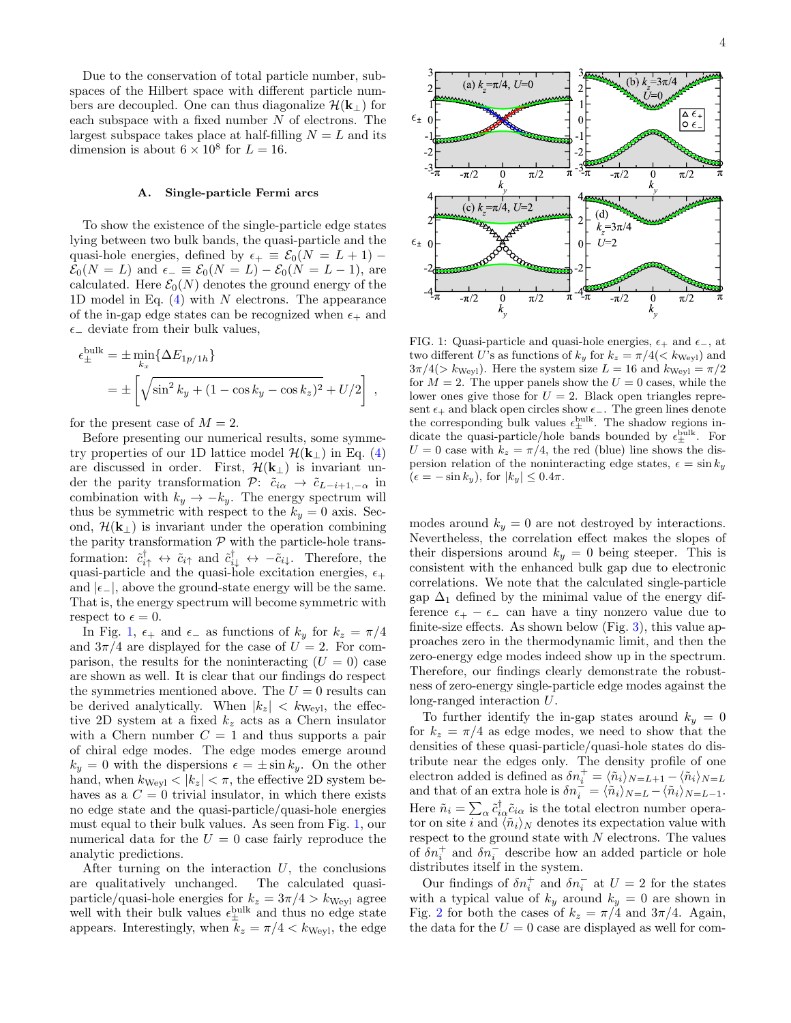Due to the conservation of total particle number, subspaces of the Hilbert space with different particle numbers are decoupled. One can thus diagonalize  $\mathcal{H}(\mathbf{k}_{\perp})$  for each subspace with a fixed number  $N$  of electrons. The largest subspace takes place at half-filling  $N = L$  and its dimension is about  $6 \times 10^8$  for  $L = 16$ .

### <span id="page-3-1"></span>A. Single-particle Fermi arcs

To show the existence of the single-particle edge states lying between two bulk bands, the quasi-particle and the quasi-hole energies, defined by  $\epsilon_+ \equiv \mathcal{E}_0(N = L + 1)$  –  $\mathcal{E}_0(N = L)$  and  $\epsilon_- \equiv \mathcal{E}_0(N = L) - \mathcal{E}_0(N = L - 1)$ , are calculated. Here  $\mathcal{E}_0(N)$  denotes the ground energy of the 1D model in Eq.  $(4)$  with N electrons. The appearance of the in-gap edge states can be recognized when  $\epsilon_+$  and  $\epsilon_-\$  deviate from their bulk values,

$$
\epsilon_{\pm}^{\text{bulk}} = \pm \min_{k_x} \{ \Delta E_{1p/1h} \}
$$
  
= 
$$
\pm \left[ \sqrt{\sin^2 k_y + (1 - \cos k_y - \cos k_z)^2} + U/2 \right],
$$

for the present case of  $M = 2$ .

Before presenting our numerical results, some symmetry properties of our 1D lattice model  $\mathcal{H}(\mathbf{k}_{\perp})$  in Eq. [\(4\)](#page-2-3) are discussed in order. First,  $\mathcal{H}(\mathbf{k}_{\perp})$  is invariant under the parity transformation  $\mathcal{P}: \tilde{c}_{i\alpha} \to \tilde{c}_{L-i+1,-\alpha}$  in combination with  $k_y \rightarrow -k_y$ . The energy spectrum will thus be symmetric with respect to the  $k_y = 0$  axis. Second,  $\mathcal{H}(\mathbf{k}_{\perp})$  is invariant under the operation combining the parity transformation  ${\mathcal P}$  with the particle-hole transformation:  $\tilde{c}^{\dagger}_{i\uparrow} \leftrightarrow \tilde{c}_{i\uparrow}$  and  $\tilde{c}^{\dagger}_{i\downarrow} \leftrightarrow -\tilde{c}_{i\downarrow}$ . Therefore, the quasi-particle and the quasi-hole excitation energies,  $\epsilon_+$ and  $|\epsilon_-|$ , above the ground-state energy will be the same. That is, the energy spectrum will become symmetric with respect to  $\epsilon = 0$ .

In Fig. [1,](#page-3-0)  $\epsilon_+$  and  $\epsilon_-$  as functions of  $k_y$  for  $k_z = \pi/4$ and  $3\pi/4$  are displayed for the case of  $U = 2$ . For comparison, the results for the noninteracting  $(U = 0)$  case are shown as well. It is clear that our findings do respect the symmetries mentioned above. The  $U = 0$  results can be derived analytically. When  $|k_z| < k_{\text{Weyl}}$ , the effective 2D system at a fixed  $k_z$  acts as a Chern insulator with a Chern number  $C = 1$  and thus supports a pair of chiral edge modes. The edge modes emerge around  $k_y = 0$  with the dispersions  $\epsilon = \pm \sin k_y$ . On the other hand, when  $k_{\text{Weyl}} < |k_z| < \pi$ , the effective 2D system behaves as a  $C = 0$  trivial insulator, in which there exists no edge state and the quasi-particle/quasi-hole energies must equal to their bulk values. As seen from Fig. [1,](#page-3-0) our numerical data for the  $U = 0$  case fairly reproduce the analytic predictions.

After turning on the interaction  $U$ , the conclusions are qualitatively unchanged. The calculated quasiparticle/quasi-hole energies for  $k_z = 3\pi/4 > k_{\text{Wev}}$  agree well with their bulk values  $\epsilon_{\pm}^{\text{bulk}}$  and thus no edge state appears. Interestingly, when  $k_z = \pi/4 < k_{Weyl}$ , the edge



<span id="page-3-0"></span>FIG. 1: Quasi-particle and quasi-hole energies,  $\epsilon_+$  and  $\epsilon_-$ , at two different U's as functions of  $k_y$  for  $k_z = \pi/4 \leq k_{\text{Weyl}}$  and  $3\pi/4$ (> k<sub>Weyl</sub>). Here the system size  $L = 16$  and  $k_{Weyl} = \pi/2$ for  $M = 2$ . The upper panels show the  $U = 0$  cases, while the lower ones give those for  $U = 2$ . Black open triangles represent  $\epsilon_+$  and black open circles show  $\epsilon_-$ . The green lines denote the corresponding bulk values  $\epsilon_{\pm}^{\text{bulk}}$ . The shadow regions indicate the quasi-particle/hole bands bounded by  $\epsilon_{\pm}^{\text{bulk}}$ . For  $U = 0$  case with  $k_z = \pi/4$ , the red (blue) line shows the dispersion relation of the noninteracting edge states,  $\epsilon = \sin k_y$  $(\epsilon = -\sin k_y)$ , for  $|k_y| \leq 0.4\pi$ .

modes around  $k_y = 0$  are not destroyed by interactions. Nevertheless, the correlation effect makes the slopes of their dispersions around  $k_y = 0$  being steeper. This is consistent with the enhanced bulk gap due to electronic correlations. We note that the calculated single-particle gap  $\Delta_1$  defined by the minimal value of the energy difference  $\epsilon_+ - \epsilon_-$  can have a tiny nonzero value due to finite-size effects. As shown below (Fig. [3\)](#page-4-0), this value approaches zero in the thermodynamic limit, and then the zero-energy edge modes indeed show up in the spectrum. Therefore, our findings clearly demonstrate the robustness of zero-energy single-particle edge modes against the long-ranged interaction U.

To further identify the in-gap states around  $k_y = 0$ for  $k_z = \pi/4$  as edge modes, we need to show that the densities of these quasi-particle/quasi-hole states do distribute near the edges only. The density profile of one electron added is defined as  $\delta n_i^+ = \langle \tilde{n}_i \rangle_{N=L+1} - \langle \tilde{n}_i \rangle_{N=L}$ and that of an extra hole is  $\delta n_i^{\dagger} = \langle \tilde{n}_i \rangle_{N=L} - \langle \tilde{n}_i \rangle_{N=L-1}$ . Here  $\tilde{n}_i = \sum_{\alpha} \tilde{c}^{\dagger}_{i\alpha} \tilde{c}_{i\alpha}$  is the total electron number operator on site i and  $\langle \tilde{n}_i \rangle_N$  denotes its expectation value with respect to the ground state with  $N$  electrons. The values of  $\delta n_i^+$  and  $\delta n_i^-$  describe how an added particle or hole distributes itself in the system.

Our findings of  $\delta n_i^+$  and  $\delta n_i^-$  at  $U = 2$  for the states with a typical value of  $k_y$  around  $k_y = 0$  are shown in Fig. [2](#page-4-1) for both the cases of  $k_z = \pi/4$  and  $3\pi/4$ . Again, the data for the  $U = 0$  case are displayed as well for com-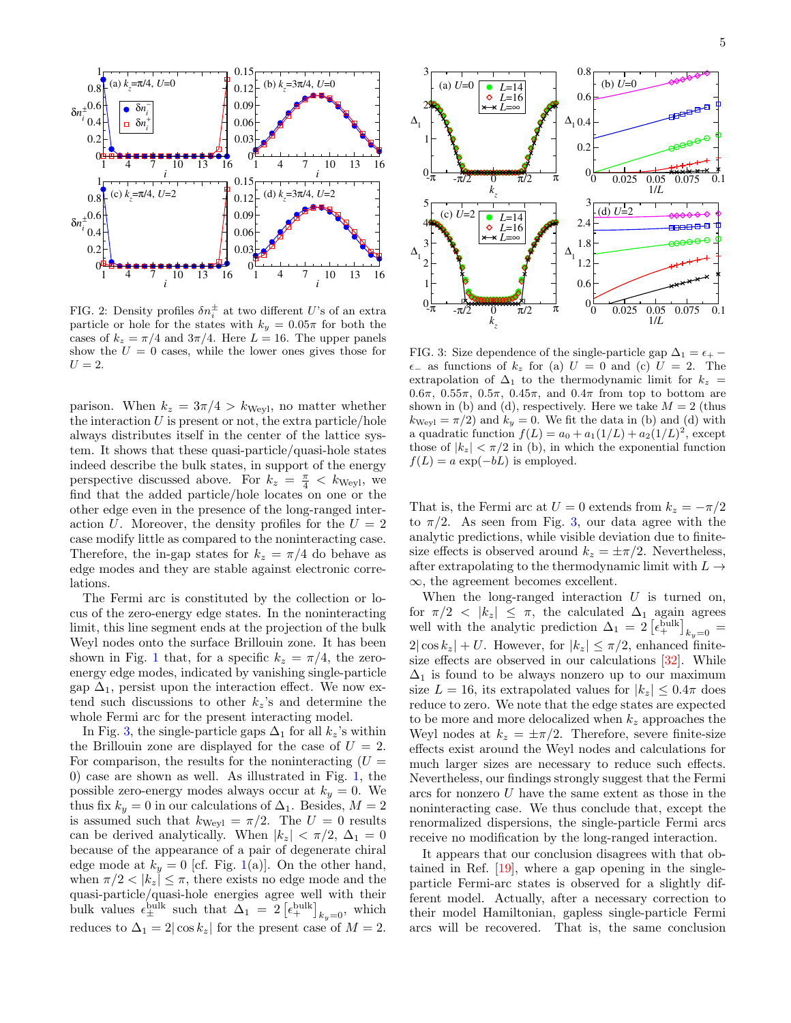

<span id="page-4-1"></span>FIG. 2: Density profiles  $\delta n_i^{\pm}$  at two different U's of an extra particle or hole for the states with  $k_y = 0.05\pi$  for both the cases of  $k_z = \pi/4$  and  $3\pi/4$ . Here  $L = 16$ . The upper panels show the  $U = 0$  cases, while the lower ones gives those for  $U=2$ .

parison. When  $k_z = 3\pi/4 > k_{\text{Wev1}}$ , no matter whether the interaction  $U$  is present or not, the extra particle/hole always distributes itself in the center of the lattice system. It shows that these quasi-particle/quasi-hole states indeed describe the bulk states, in support of the energy perspective discussed above. For  $k_z = \frac{\pi}{4} < k_{\text{Weyl}}$ , we find that the added particle/hole locates on one or the other edge even in the presence of the long-ranged interaction U. Moreover, the density profiles for the  $U = 2$ case modify little as compared to the noninteracting case. Therefore, the in-gap states for  $k_z = \pi/4$  do behave as edge modes and they are stable against electronic correlations.

The Fermi arc is constituted by the collection or locus of the zero-energy edge states. In the noninteracting limit, this line segment ends at the projection of the bulk Weyl nodes onto the surface Brillouin zone. It has been shown in Fig. [1](#page-3-0) that, for a specific  $k_z = \pi/4$ , the zeroenergy edge modes, indicated by vanishing single-particle gap  $\Delta_1$ , persist upon the interaction effect. We now extend such discussions to other  $k_z$ 's and determine the whole Fermi arc for the present interacting model.

In Fig. [3,](#page-4-0) the single-particle gaps  $\Delta_1$  for all  $k_z$ 's within the Brillouin zone are displayed for the case of  $U = 2$ . For comparison, the results for the noninteracting  $(U =$ 0) case are shown as well. As illustrated in Fig. [1,](#page-3-0) the possible zero-energy modes always occur at  $k_y = 0$ . We thus fix  $k_y = 0$  in our calculations of  $\Delta_1$ . Besides,  $M = 2$ is assumed such that  $k_{\text{Weyl}} = \pi/2$ . The  $U = 0$  results can be derived analytically. When  $|k_z| < \pi/2$ ,  $\Delta_1 = 0$ because of the appearance of a pair of degenerate chiral edge mode at  $k_y = 0$  [cf. Fig. [1\(](#page-3-0)a)]. On the other hand, when  $\pi/2 < |k_z| \leq \pi$ , there exists no edge mode and the quasi-particle/quasi-hole energies agree well with their bulk values  $\epsilon_{\pm}^{\text{bulk}}$  such that  $\Delta_1 = 2 \left[ \epsilon_{+}^{\text{bulk}} \right]_{k_y=0}$ , which reduces to  $\Delta_1 = 2 |\cos k_z|$  for the present case of  $M = 2$ .



<span id="page-4-0"></span>FIG. 3: Size dependence of the single-particle gap  $\Delta_1 = \epsilon_+$  $\epsilon_-$  as functions of  $k_z$  for (a)  $U = 0$  and (c)  $U = 2$ . The extrapolation of  $\Delta_1$  to the thermodynamic limit for  $k_z$  = 0.6π, 0.55π, 0.5π, 0.45π, and 0.4π from top to bottom are shown in (b) and (d), respectively. Here we take  $M = 2$  (thus  $k_{Weyl} = \pi/2$  and  $k_y = 0$ . We fit the data in (b) and (d) with a quadratic function  $f(L) = a_0 + a_1(1/L) + a_2(1/L)^2$ , except those of  $|k_z| < \pi/2$  in (b), in which the exponential function  $f(L) = a \exp(-bL)$  is employed.

That is, the Fermi arc at  $U = 0$  extends from  $k_z = -\pi/2$ to  $\pi/2$ . As seen from Fig. [3,](#page-4-0) our data agree with the analytic predictions, while visible deviation due to finitesize effects is observed around  $k_z = \pm \pi/2$ . Nevertheless, after extrapolating to the thermodynamic limit with  $L\rightarrow$ ∞, the agreement becomes excellent.

When the long-ranged interaction  $U$  is turned on, for  $\pi/2 < |k_z| \leq \pi$ , the calculated  $\Delta_1$  again agrees well with the analytic prediction  $\Delta_1 = 2 \left[ \epsilon_+^{\text{bulk}} \right]_{k_y=0} =$  $2|\cos k_z| + U$ . However, for  $|k_z| \leq \pi/2$ , enhanced finitesize effects are observed in our calculations [\[32\]](#page-7-24). While  $\Delta_1$  is found to be always nonzero up to our maximum size  $L = 16$ , its extrapolated values for  $|k_z| \leq 0.4\pi$  does reduce to zero. We note that the edge states are expected to be more and more delocalized when  $k_z$  approaches the Weyl nodes at  $k_z = \pm \pi/2$ . Therefore, severe finite-size effects exist around the Weyl nodes and calculations for much larger sizes are necessary to reduce such effects. Nevertheless, our findings strongly suggest that the Fermi arcs for nonzero U have the same extent as those in the noninteracting case. We thus conclude that, except the renormalized dispersions, the single-particle Fermi arcs receive no modification by the long-ranged interaction.

It appears that our conclusion disagrees with that obtained in Ref. [\[19\]](#page-7-14), where a gap opening in the singleparticle Fermi-arc states is observed for a slightly different model. Actually, after a necessary correction to their model Hamiltonian, gapless single-particle Fermi arcs will be recovered. That is, the same conclusion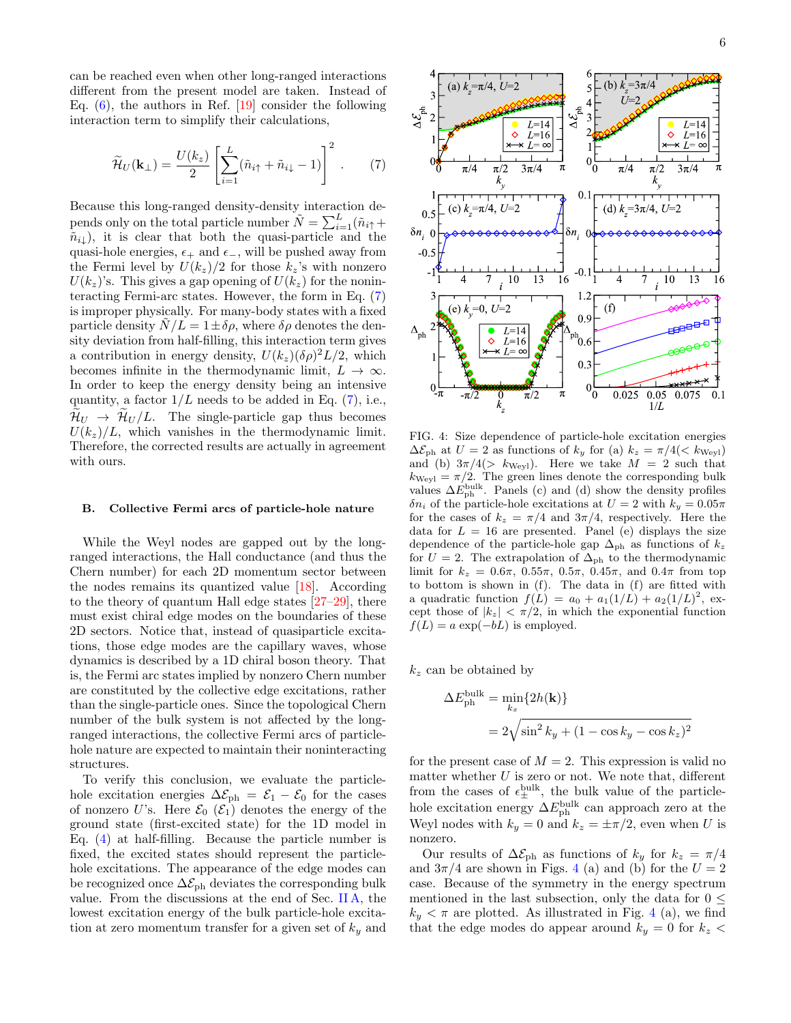can be reached even when other long-ranged interactions different from the present model are taken. Instead of Eq.  $(6)$ , the authors in Ref. [\[19\]](#page-7-14) consider the following interaction term to simplify their calculations,

<span id="page-5-0"></span>
$$
\widetilde{\mathcal{H}}_U(\mathbf{k}_{\perp}) = \frac{U(k_z)}{2} \left[ \sum_{i=1}^L (\widetilde{n}_{i\uparrow} + \widetilde{n}_{i\downarrow} - 1) \right]^2.
$$
 (7)

Because this long-ranged density-density interaction depends only on the total particle number  $\tilde{N} = \sum_{i=1}^{L} (\tilde{n}_{i\uparrow} +$  $\tilde{n}_{i\downarrow}$ ), it is clear that both the quasi-particle and the quasi-hole energies,  $\epsilon_+$  and  $\epsilon_-$ , will be pushed away from the Fermi level by  $U(k_z)/2$  for those  $k_z$ 's with nonzero  $U(k_z)$ 's. This gives a gap opening of  $U(k_z)$  for the noninteracting Fermi-arc states. However, the form in Eq. [\(7\)](#page-5-0) is improper physically. For many-body states with a fixed particle density  $N/L = 1 \pm \delta \rho$ , where  $\delta \rho$  denotes the density deviation from half-filling, this interaction term gives a contribution in energy density,  $U(k_z)(\delta \rho)^2 L/2$ , which becomes infinite in the thermodynamic limit,  $L \to \infty$ . In order to keep the energy density being an intensive quantity, a factor  $1/L$  needs to be added in Eq. [\(7\)](#page-5-0), i.e.,  $\mathcal{H}_U \rightarrow \mathcal{H}_U / L$ . The single-particle gap thus becomes  $U(k_z)/L$ , which vanishes in the thermodynamic limit. Therefore, the corrected results are actually in agreement with ours.

### B. Collective Fermi arcs of particle-hole nature

While the Weyl nodes are gapped out by the longranged interactions, the Hall conductance (and thus the Chern number) for each 2D momentum sector between the nodes remains its quantized value [\[18\]](#page-7-13). According to the theory of quantum Hall edge states [\[27–](#page-7-20)[29\]](#page-7-21), there must exist chiral edge modes on the boundaries of these 2D sectors. Notice that, instead of quasiparticle excitations, those edge modes are the capillary waves, whose dynamics is described by a 1D chiral boson theory. That is, the Fermi arc states implied by nonzero Chern number are constituted by the collective edge excitations, rather than the single-particle ones. Since the topological Chern number of the bulk system is not affected by the longranged interactions, the collective Fermi arcs of particlehole nature are expected to maintain their noninteracting structures.

To verify this conclusion, we evaluate the particlehole excitation energies  $\Delta \mathcal{E}_{ph} = \mathcal{E}_1 - \mathcal{E}_0$  for the cases of nonzero U's. Here  $\mathcal{E}_0$  ( $\mathcal{E}_1$ ) denotes the energy of the ground state (first-excited state) for the 1D model in Eq. [\(4\)](#page-2-3) at half-filling. Because the particle number is fixed, the excited states should represent the particlehole excitations. The appearance of the edge modes can be recognized once  $\Delta \mathcal{E}_{\text{ph}}$  deviates the corresponding bulk value. From the discussions at the end of Sec. [II A,](#page-2-4) the lowest excitation energy of the bulk particle-hole excitation at zero momentum transfer for a given set of  $k_y$  and



<span id="page-5-1"></span>FIG. 4: Size dependence of particle-hole excitation energies  $\Delta \mathcal{E}_{\text{ph}}$  at  $U = 2$  as functions of  $k_y$  for (a)  $k_z = \pi/4 \leq k_{\text{Weyl}}$ and (b)  $3\pi/4$ (> k<sub>Weyl</sub>). Here we take  $M = 2$  such that  $k_{\text{Weyl}} = \pi/2$ . The green lines denote the corresponding bulk values  $\Delta E_{\rm ph}^{\rm bulk}$ . Panels (c) and (d) show the density profiles  $\delta n_i$  of the particle-hole excitations at  $U = 2$  with  $k_y = 0.05\pi$ for the cases of  $k_z = \pi/4$  and  $3\pi/4$ , respectively. Here the data for  $L = 16$  are presented. Panel (e) displays the size dependence of the particle-hole gap  $\Delta_{\rm ph}$  as functions of  $k_z$ for  $U = 2$ . The extrapolation of  $\Delta_{\rm ph}$  to the thermodynamic limit for  $k_z = 0.6\pi, 0.55\pi, 0.5\pi, 0.45\pi, \text{ and } 0.4\pi$  from top to bottom is shown in (f). The data in (f) are fitted with a quadratic function  $f(L) = a_0 + a_1(1/L) + a_2(1/L)^2$ , except those of  $|k_z| < \pi/2$ , in which the exponential function  $f(L) = a \exp(-bL)$  is employed.

 $k_z$  can be obtained by

$$
\Delta E_{\rm ph}^{\rm bulk} = \min_{k_x} \{2h(\mathbf{k})\}
$$

$$
= 2\sqrt{\sin^2 k_y + (1 - \cos k_y - \cos k_z)^2}
$$

for the present case of  $M = 2$ . This expression is valid no matter whether  $U$  is zero or not. We note that, different from the cases of  $\epsilon_{\pm}^{\text{bulk}}$ , the bulk value of the particlehole excitation energy  $\Delta E_{\text{ph}}^{\text{bulk}}$  can approach zero at the Weyl nodes with  $k_y = 0$  and  $k_z = \pm \pi/2$ , even when U is nonzero.

Our results of  $\Delta \mathcal{E}_{\text{ph}}$  as functions of  $k_y$  for  $k_z = \pi/4$ and  $3\pi/4$  $3\pi/4$  are shown in Figs. 4 (a) and (b) for the  $U = 2$ case. Because of the symmetry in the energy spectrum mentioned in the last subsection, only the data for  $0 \leq$  $k_y < \pi$  are plotted. As illustrated in Fig. [4](#page-5-1) (a), we find that the edge modes do appear around  $k_y = 0$  for  $k_z$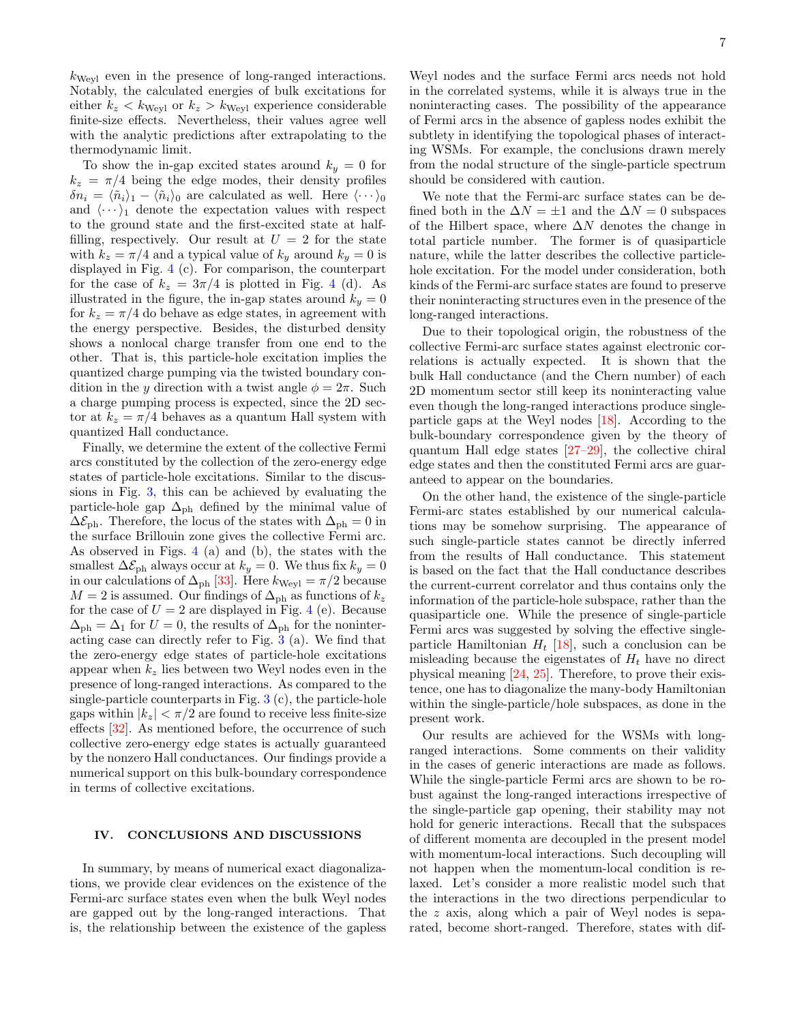$k_{\text{Weyl}}$  even in the presence of long-ranged interactions. Notably, the calculated energies of bulk excitations for either  $k_z < k_{Weyl}$  or  $k_z > k_{Weyl}$  experience considerable finite-size effects. Nevertheless, their values agree well with the analytic predictions after extrapolating to the thermodynamic limit.

To show the in-gap excited states around  $k_y = 0$  for  $k_z = \pi/4$  being the edge modes, their density profiles  $\delta n_i = \langle \tilde{n}_i \rangle_1 - \langle \tilde{n}_i \rangle_0$  are calculated as well. Here  $\langle \cdots \rangle_0$ and  $\langle \cdots \rangle_1$  denote the expectation values with respect to the ground state and the first-excited state at halffilling, respectively. Our result at  $U = 2$  for the state with  $k_z = \pi/4$  and a typical value of  $k_y$  around  $k_y = 0$  is displayed in Fig. [4](#page-5-1) (c). For comparison, the counterpart for the case of  $k_z = 3\pi/4$  $k_z = 3\pi/4$  is plotted in Fig. 4 (d). As illustrated in the figure, the in-gap states around  $k_y = 0$ for  $k_z = \pi/4$  do behave as edge states, in agreement with the energy perspective. Besides, the disturbed density shows a nonlocal charge transfer from one end to the other. That is, this particle-hole excitation implies the quantized charge pumping via the twisted boundary condition in the y direction with a twist angle  $\phi = 2\pi$ . Such a charge pumping process is expected, since the 2D sector at  $k_z = \pi/4$  behaves as a quantum Hall system with quantized Hall conductance.

Finally, we determine the extent of the collective Fermi arcs constituted by the collection of the zero-energy edge states of particle-hole excitations. Similar to the discussions in Fig. [3,](#page-4-0) this can be achieved by evaluating the particle-hole gap  $\Delta_{\rm ph}$  defined by the minimal value of  $\Delta \mathcal{E}_{\text{ph}}$ . Therefore, the locus of the states with  $\Delta_{\text{ph}} = 0$  in the surface Brillouin zone gives the collective Fermi arc. As observed in Figs. [4](#page-5-1) (a) and (b), the states with the smallest  $\Delta \mathcal{E}_{\text{ph}}$  always occur at  $k_y = 0$ . We thus fix  $k_y = 0$ in our calculations of  $\Delta_{\rm ph}$  [\[33\]](#page-8-0). Here  $k_{\rm Weyl} = \pi/2$  because  $M = 2$  is assumed. Our findings of  $\Delta_{\rm ph}$  as functions of  $k_z$ for the case of  $U = 2$  are displayed in Fig. [4](#page-5-1) (e). Because  $\Delta_{\rm ph} = \Delta_1$  for  $U = 0$ , the results of  $\Delta_{\rm ph}$  for the noninteracting case can directly refer to Fig. [3](#page-4-0) (a). We find that the zero-energy edge states of particle-hole excitations appear when  $k_z$  lies between two Weyl nodes even in the presence of long-ranged interactions. As compared to the single-particle counterparts in Fig.  $3(c)$  $3(c)$ , the particle-hole gaps within  $|k_z| < \pi/2$  are found to receive less finite-size effects [\[32\]](#page-7-24). As mentioned before, the occurrence of such collective zero-energy edge states is actually guaranteed by the nonzero Hall conductances. Our findings provide a numerical support on this bulk-boundary correspondence in terms of collective excitations.

### IV. CONCLUSIONS AND DISCUSSIONS

In summary, by means of numerical exact diagonalizations, we provide clear evidences on the existence of the Fermi-arc surface states even when the bulk Weyl nodes are gapped out by the long-ranged interactions. That is, the relationship between the existence of the gapless

Weyl nodes and the surface Fermi arcs needs not hold in the correlated systems, while it is always true in the noninteracting cases. The possibility of the appearance of Fermi arcs in the absence of gapless nodes exhibit the subtlety in identifying the topological phases of interacting WSMs. For example, the conclusions drawn merely from the nodal structure of the single-particle spectrum should be considered with caution.

We note that the Fermi-arc surface states can be defined both in the  $\Delta N = \pm 1$  and the  $\Delta N = 0$  subspaces of the Hilbert space, where  $\Delta N$  denotes the change in total particle number. The former is of quasiparticle nature, while the latter describes the collective particlehole excitation. For the model under consideration, both kinds of the Fermi-arc surface states are found to preserve their noninteracting structures even in the presence of the long-ranged interactions.

Due to their topological origin, the robustness of the collective Fermi-arc surface states against electronic correlations is actually expected. It is shown that the bulk Hall conductance (and the Chern number) of each 2D momentum sector still keep its noninteracting value even though the long-ranged interactions produce singleparticle gaps at the Weyl nodes [\[18\]](#page-7-13). According to the bulk-boundary correspondence given by the theory of quantum Hall edge states [\[27–](#page-7-20)[29\]](#page-7-21), the collective chiral edge states and then the constituted Fermi arcs are guaranteed to appear on the boundaries.

On the other hand, the existence of the single-particle Fermi-arc states established by our numerical calculations may be somehow surprising. The appearance of such single-particle states cannot be directly inferred from the results of Hall conductance. This statement is based on the fact that the Hall conductance describes the current-current correlator and thus contains only the information of the particle-hole subspace, rather than the quasiparticle one. While the presence of single-particle Fermi arcs was suggested by solving the effective singleparticle Hamiltonian  $H_t$  [\[18\]](#page-7-13), such a conclusion can be misleading because the eigenstates of  $H_t$  have no direct physical meaning [\[24,](#page-7-17) [25\]](#page-7-18). Therefore, to prove their existence, one has to diagonalize the many-body Hamiltonian within the single-particle/hole subspaces, as done in the present work.

Our results are achieved for the WSMs with longranged interactions. Some comments on their validity in the cases of generic interactions are made as follows. While the single-particle Fermi arcs are shown to be robust against the long-ranged interactions irrespective of the single-particle gap opening, their stability may not hold for generic interactions. Recall that the subspaces of different momenta are decoupled in the present model with momentum-local interactions. Such decoupling will not happen when the momentum-local condition is relaxed. Let's consider a more realistic model such that the interactions in the two directions perpendicular to the z axis, along which a pair of Weyl nodes is separated, become short-ranged. Therefore, states with dif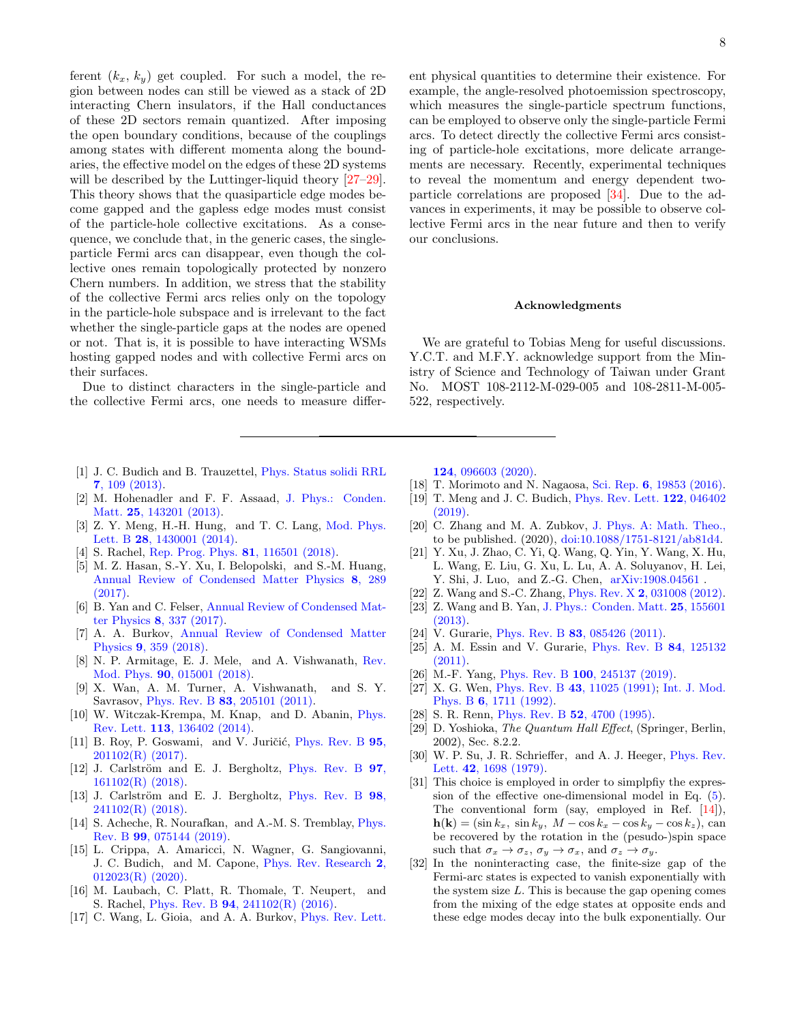ferent  $(k_x, k_y)$  get coupled. For such a model, the region between nodes can still be viewed as a stack of 2D interacting Chern insulators, if the Hall conductances of these 2D sectors remain quantized. After imposing the open boundary conditions, because of the couplings among states with different momenta along the boundaries, the effective model on the edges of these 2D systems will be described by the Luttinger-liquid theory  $[27-29]$  $[27-29]$ . This theory shows that the quasiparticle edge modes become gapped and the gapless edge modes must consist of the particle-hole collective excitations. As a consequence, we conclude that, in the generic cases, the singleparticle Fermi arcs can disappear, even though the collective ones remain topologically protected by nonzero Chern numbers. In addition, we stress that the stability of the collective Fermi arcs relies only on the topology in the particle-hole subspace and is irrelevant to the fact whether the single-particle gaps at the nodes are opened or not. That is, it is possible to have interacting WSMs hosting gapped nodes and with collective Fermi arcs on their surfaces.

Due to distinct characters in the single-particle and the collective Fermi arcs, one needs to measure differ-

- <span id="page-7-0"></span>[1] J. C. Budich and B. Trauzettel, [Phys. Status solidi RRL](http://dx.doi.org/10.1002/pssr.201206416) 7[, 109 \(2013\).](http://dx.doi.org/10.1002/pssr.201206416)
- [2] M. Hohenadler and F. F. Assaad, [J. Phys.: Conden.](http://dx.doi.org/10.1088/0953-8984/25/14/143201) Matt. **25**[, 143201 \(2013\).](http://dx.doi.org/10.1088/0953-8984/25/14/143201)
- [3] Z. Y. Meng, H.-H. Hung, and T. C. Lang, [Mod. Phys.](http://dx.doi.org/10.1142/S0217984914300014) Lett. B 28[, 1430001 \(2014\).](http://dx.doi.org/10.1142/S0217984914300014)
- <span id="page-7-1"></span>[4] S. Rachel, [Rep. Prog. Phys.](http://dx.doi.org/10.1088/1361-6633/aad6a6) 81, 116501 (2018).
- <span id="page-7-2"></span>[5] M. Z. Hasan, S.-Y. Xu, I. Belopolski, and S.-M. Huang, [Annual Review of Condensed Matter Physics](http://dx.doi.org/10.1146/annurev-conmatphys-031016-025225) 8, 289 [\(2017\).](http://dx.doi.org/10.1146/annurev-conmatphys-031016-025225)
- [6] B. Yan and C. Felser, [Annual Review of Condensed Mat](http://dx.doi.org/10.1146/annurev-conmatphys-031016-025458)ter Physics 8[, 337 \(2017\).](http://dx.doi.org/10.1146/annurev-conmatphys-031016-025458)
- [7] A. A. Burkov, [Annual Review of Condensed Matter](http://dx.doi.org/10.1146/annurev-conmatphys-033117-054129) Physics 9[, 359 \(2018\).](http://dx.doi.org/10.1146/annurev-conmatphys-033117-054129)
- <span id="page-7-3"></span>[8] N. P. Armitage, E. J. Mele, and A. Vishwanath, [Rev.](http://dx.doi.org/10.1103/RevModPhys.90.015001) Mod. Phys. 90[, 015001 \(2018\).](http://dx.doi.org/10.1103/RevModPhys.90.015001)
- <span id="page-7-4"></span>[9] X. Wan, A. M. Turner, A. Vishwanath, and S. Y. Savrasov, Phys. Rev. B 83[, 205101 \(2011\).](http://dx.doi.org/10.1103/PhysRevB.83.205101)
- <span id="page-7-5"></span>[10] W. Witczak-Krempa, M. Knap, and D. Abanin, [Phys.](http://dx.doi.org/10.1103/PhysRevLett.113.136402) Rev. Lett. 113[, 136402 \(2014\).](http://dx.doi.org/10.1103/PhysRevLett.113.136402)
- <span id="page-7-8"></span>[11] B. Roy, P. Goswami, and V. Juričić, [Phys. Rev. B](http://dx.doi.org/10.1103/PhysRevB.95.201102)  $95$ , [201102\(R\) \(2017\).](http://dx.doi.org/10.1103/PhysRevB.95.201102)
- [12] J. Carlström and E. J. Bergholtz, [Phys. Rev. B](http://dx.doi.org/10.1103/PhysRevB.97.161102)  $97$ , [161102\(R\) \(2018\).](http://dx.doi.org/10.1103/PhysRevB.97.161102)
- <span id="page-7-7"></span>[13] J. Carlström and E. J. Bergholtz, [Phys. Rev. B](http://dx.doi.org/10.1103/PhysRevB.98.241102) 98, [241102\(R\) \(2018\).](http://dx.doi.org/10.1103/PhysRevB.98.241102)
- <span id="page-7-9"></span>[14] S. Acheche, R. Nourafkan, and A.-M. S. Tremblay, [Phys.](http://dx.doi.org/10.1103/PhysRevB.99.075144) Rev. B 99[, 075144 \(2019\).](http://dx.doi.org/10.1103/PhysRevB.99.075144)
- <span id="page-7-10"></span>[15] L. Crippa, A. Amaricci, N. Wagner, G. Sangiovanni, J. C. Budich, and M. Capone, [Phys. Rev. Research](http://dx.doi.org/ 10.1103/PhysRevResearch.2.012023) 2, [012023\(R\) \(2020\).](http://dx.doi.org/ 10.1103/PhysRevResearch.2.012023)
- <span id="page-7-11"></span>[16] M. Laubach, C. Platt, R. Thomale, T. Neupert, and S. Rachel, Phys. Rev. B 94[, 241102\(R\) \(2016\).](http://dx.doi.org/ 10.1103/PhysRevB.94.241102)
- <span id="page-7-12"></span>[17] C. Wang, L. Gioia, and A. A. Burkov, *[Phys. Rev. Lett.](http://dx.doi.org/10.1103/PhysRevLett.124.096603)*

8

ent physical quantities to determine their existence. For example, the angle-resolved photoemission spectroscopy, which measures the single-particle spectrum functions, can be employed to observe only the single-particle Fermi arcs. To detect directly the collective Fermi arcs consisting of particle-hole excitations, more delicate arrangements are necessary. Recently, experimental techniques to reveal the momentum and energy dependent twoparticle correlations are proposed [\[34\]](#page-8-1). Due to the advances in experiments, it may be possible to observe collective Fermi arcs in the near future and then to verify our conclusions.

### Acknowledgments

We are grateful to Tobias Meng for useful discussions. Y.C.T. and M.F.Y. acknowledge support from the Ministry of Science and Technology of Taiwan under Grant No. MOST 108-2112-M-029-005 and 108-2811-M-005- 522, respectively.

124[, 096603 \(2020\).](http://dx.doi.org/10.1103/PhysRevLett.124.096603)

- <span id="page-7-13"></span>[18] T. Morimoto and N. Nagaosa, Sci. Rep. 6[, 19853 \(2016\).](http://dx.doi.org/10.1038/srep19853)
- <span id="page-7-14"></span>[19] T. Meng and J. C. Budich, [Phys. Rev. Lett.](http://dx.doi.org/10.1103/PhysRevLett.122.046402) 122, 046402 [\(2019\).](http://dx.doi.org/10.1103/PhysRevLett.122.046402)
- [20] C. Zhang and M. A. Zubkov, [J. Phys. A: Math. Theo.,](http://dx.doi.org/10.1088/1751-8121/ab81d4) [t](http://dx.doi.org/10.1088/1751-8121/ab81d4)o be published. (2020), [doi:10.1088/1751-8121/ab81d4.](http://dx.doi.org/10.1088/1751-8121/ab81d4)
- <span id="page-7-6"></span>[21] Y. Xu, J. Zhao, C. Yi, Q. Wang, Q. Yin, Y. Wang, X. Hu, L. Wang, E. Liu, G. Xu, L. Lu, A. A. Soluyanov, H. Lei, Y. Shi, J. Luo, and Z.-G. Chen, [arXiv:1908.04561](https://arxiv.org/abs/1908.04561) .
- <span id="page-7-15"></span>[22] Z. Wang and S.-C. Zhang, Phys. Rev. X 2[, 031008 \(2012\).](http://dx.doi.org/10.1103/PhysRevX.2.031008)
- <span id="page-7-16"></span>[23] Z. Wang and B. Yan, [J. Phys.: Conden. Matt.](http://dx.doi.org/10.1088/0953-8984/25/15/155601) 25, 155601 [\(2013\).](http://dx.doi.org/10.1088/0953-8984/25/15/155601)
- <span id="page-7-17"></span>[24] V. Gurarie, Phys. Rev. B **83**[, 085426 \(2011\).](http://dx.doi.org/10.1103/PhysRevB.83.085426)
- <span id="page-7-18"></span>[25] A. M. Essin and V. Gurarie, [Phys. Rev. B](http://dx.doi.org/10.1103/PhysRevB.84.125132) 84, 125132 [\(2011\).](http://dx.doi.org/10.1103/PhysRevB.84.125132)
- <span id="page-7-19"></span>[26] M.-F. Yang, Phys. Rev. B 100[, 245137 \(2019\).](http://dx.doi.org/10.1103/PhysRevB.100.245137)
- <span id="page-7-20"></span>[27] X. G. Wen, Phys. Rev. B 43[, 11025 \(1991\);](http://dx.doi.org/10.1103/PhysRevB.43.11025) [Int. J. Mod.](http://dx.doi.org/10.1142/S0217979292000840) Phys. B 6[, 1711 \(1992\).](http://dx.doi.org/10.1142/S0217979292000840)
- [28] S. R. Renn, *Phys. Rev. B* 52[, 4700 \(1995\).](http://dx.doi.org/10.1103/PhysRevB.52.4700)
- <span id="page-7-21"></span>[29] D. Yoshioka, The Quantum Hall Effect, (Springer, Berlin, 2002), Sec. 8.2.2.
- <span id="page-7-22"></span>[30] W. P. Su, J. R. Schrieffer, and A. J. Heeger, [Phys. Rev.](http://dx.doi.org/10.1103/PhysRevLett.42.1698) Lett. 42[, 1698 \(1979\).](http://dx.doi.org/10.1103/PhysRevLett.42.1698)
- <span id="page-7-23"></span>[31] This choice is employed in order to simplpfiy the expression of the effective one-dimensional model in Eq. [\(5\)](#page-2-1). The conventional form (say, employed in Ref. [\[14\]](#page-7-9)),  $h(\mathbf{k}) = (\sin k_x, \sin k_y, M - \cos k_x - \cos k_y - \cos k_z), \text{ can}$ be recovered by the rotation in the (pesudo-)spin space such that  $\sigma_x \to \sigma_z$ ,  $\sigma_y \to \sigma_x$ , and  $\sigma_z \to \sigma_y$ .
- <span id="page-7-24"></span>[32] In the noninteracting case, the finite-size gap of the Fermi-arc states is expected to vanish exponentially with the system size  $L$ . This is because the gap opening comes from the mixing of the edge states at opposite ends and these edge modes decay into the bulk exponentially. Our